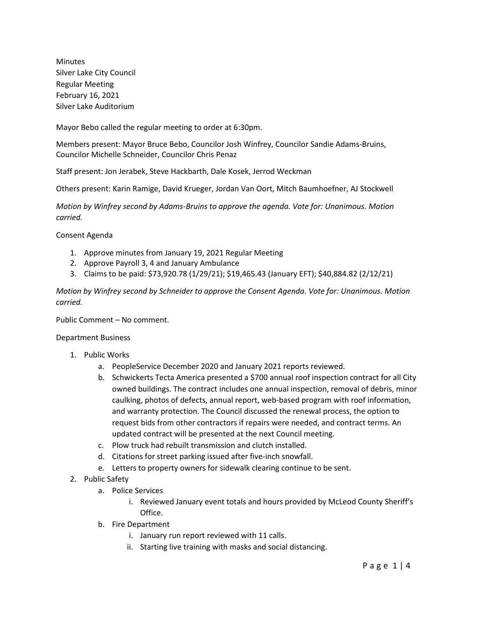Minutes Silver Lake City Council Regular Meeting February 16, 2021 Silver Lake Auditorium

Mayor Bebo called the regular meeting to order at 6:30pm.

Members present: Mayor Bruce Bebo, Councilor Josh Winfrey, Councilor Sandie Adams-Bruins, Councilor Michelle Schneider, Councilor Chris Penaz

Staff present: Jon Jerabek, Steve Hackbarth, Dale Kosek, Jerrod Weckman

Others present: Karin Ramige, David Krueger, Jordan Van Oort, Mitch Baumhoefner, AJ Stockwell

*Motion by Winfrey second by Adams-Bruins to approve the agenda. Vote for: Unanimous. Motion carried.*

Consent Agenda

- 1. Approve minutes from January 19, 2021 Regular Meeting
- 2. Approve Payroll 3, 4 and January Ambulance
- 3. Claims to be paid: \$73,920.78 (1/29/21); \$19,465.43 (January EFT); \$40,884.82 (2/12/21)

*Motion by Winfrey second by Schneider to approve the Consent Agenda. Vote for: Unanimous. Motion carried.*

Public Comment – No comment.

Department Business

- 1. Public Works
	- a. PeopleService December 2020 and January 2021 reports reviewed.
	- b. Schwickerts Tecta America presented a \$700 annual roof inspection contract for all City owned buildings. The contract includes one annual inspection, removal of debris, minor caulking, photos of defects, annual report, web-based program with roof information, and warranty protection. The Council discussed the renewal process, the option to request bids from other contractors if repairs were needed, and contract terms. An updated contract will be presented at the next Council meeting.
	- c. Plow truck had rebuilt transmission and clutch installed.
	- d. Citations for street parking issued after five-inch snowfall.
	- e. Letters to property owners for sidewalk clearing continue to be sent.
- 2. Public Safety
	- a. Police Services
		- i. Reviewed January event totals and hours provided by McLeod County Sheriff's Office.
	- b. Fire Department
		- i. January run report reviewed with 11 calls.
		- ii. Starting live training with masks and social distancing.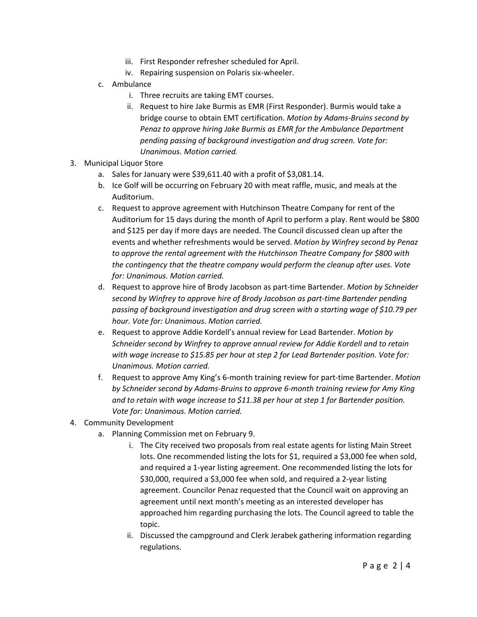- iii. First Responder refresher scheduled for April.
- iv. Repairing suspension on Polaris six-wheeler.
- c. Ambulance
	- i. Three recruits are taking EMT courses.
	- ii. Request to hire Jake Burmis as EMR (First Responder). Burmis would take a bridge course to obtain EMT certification. *Motion by Adams-Bruins second by Penaz to approve hiring Jake Burmis as EMR for the Ambulance Department pending passing of background investigation and drug screen. Vote for: Unanimous. Motion carried.*
- 3. Municipal Liquor Store
	- a. Sales for January were \$39,611.40 with a profit of \$3,081.14.
	- b. Ice Golf will be occurring on February 20 with meat raffle, music, and meals at the Auditorium.
	- c. Request to approve agreement with Hutchinson Theatre Company for rent of the Auditorium for 15 days during the month of April to perform a play. Rent would be \$800 and \$125 per day if more days are needed. The Council discussed clean up after the events and whether refreshments would be served. *Motion by Winfrey second by Penaz to approve the rental agreement with the Hutchinson Theatre Company for \$800 with the contingency that the theatre company would perform the cleanup after uses. Vote for: Unanimous. Motion carried.*
	- d. Request to approve hire of Brody Jacobson as part-time Bartender. *Motion by Schneider second by Winfrey to approve hire of Brody Jacobson as part-time Bartender pending passing of background investigation and drug screen with a starting wage of \$10.79 per hour. Vote for: Unanimous. Motion carried.*
	- e. Request to approve Addie Kordell's annual review for Lead Bartender. *Motion by Schneider second by Winfrey to approve annual review for Addie Kordell and to retain with wage increase to \$15.85 per hour at step 2 for Lead Bartender position. Vote for: Unanimous. Motion carried.*
	- f. Request to approve Amy King's 6-month training review for part-time Bartender. *Motion by Schneider second by Adams-Bruins to approve 6-month training review for Amy King and to retain with wage increase to \$11.38 per hour at step 1 for Bartender position. Vote for: Unanimous. Motion carried.*
- 4. Community Development
	- a. Planning Commission met on February 9.
		- i. The City received two proposals from real estate agents for listing Main Street lots. One recommended listing the lots for \$1, required a \$3,000 fee when sold, and required a 1-year listing agreement. One recommended listing the lots for \$30,000, required a \$3,000 fee when sold, and required a 2-year listing agreement. Councilor Penaz requested that the Council wait on approving an agreement until next month's meeting as an interested developer has approached him regarding purchasing the lots. The Council agreed to table the topic.
		- ii. Discussed the campground and Clerk Jerabek gathering information regarding regulations.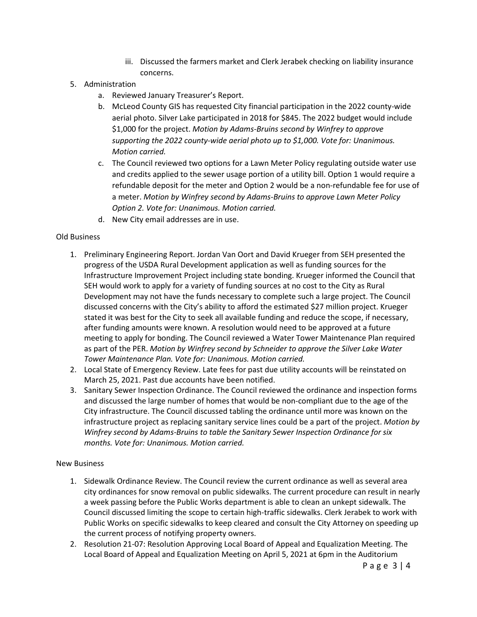- iii. Discussed the farmers market and Clerk Jerabek checking on liability insurance concerns.
- 5. Administration
	- a. Reviewed January Treasurer's Report.
	- b. McLeod County GIS has requested City financial participation in the 2022 county-wide aerial photo. Silver Lake participated in 2018 for \$845. The 2022 budget would include \$1,000 for the project. *Motion by Adams-Bruins second by Winfrey to approve supporting the 2022 county-wide aerial photo up to \$1,000. Vote for: Unanimous. Motion carried.*
	- c. The Council reviewed two options for a Lawn Meter Policy regulating outside water use and credits applied to the sewer usage portion of a utility bill. Option 1 would require a refundable deposit for the meter and Option 2 would be a non-refundable fee for use of a meter. *Motion by Winfrey second by Adams-Bruins to approve Lawn Meter Policy Option 2. Vote for: Unanimous. Motion carried.*
	- d. New City email addresses are in use.

#### Old Business

- 1. Preliminary Engineering Report. Jordan Van Oort and David Krueger from SEH presented the progress of the USDA Rural Development application as well as funding sources for the Infrastructure Improvement Project including state bonding. Krueger informed the Council that SEH would work to apply for a variety of funding sources at no cost to the City as Rural Development may not have the funds necessary to complete such a large project. The Council discussed concerns with the City's ability to afford the estimated \$27 million project. Krueger stated it was best for the City to seek all available funding and reduce the scope, if necessary, after funding amounts were known. A resolution would need to be approved at a future meeting to apply for bonding. The Council reviewed a Water Tower Maintenance Plan required as part of the PER. *Motion by Winfrey second by Schneider to approve the Silver Lake Water Tower Maintenance Plan. Vote for: Unanimous. Motion carried.*
- 2. Local State of Emergency Review. Late fees for past due utility accounts will be reinstated on March 25, 2021. Past due accounts have been notified.
- 3. Sanitary Sewer Inspection Ordinance. The Council reviewed the ordinance and inspection forms and discussed the large number of homes that would be non-compliant due to the age of the City infrastructure. The Council discussed tabling the ordinance until more was known on the infrastructure project as replacing sanitary service lines could be a part of the project. *Motion by Winfrey second by Adams-Bruins to table the Sanitary Sewer Inspection Ordinance for six months. Vote for: Unanimous. Motion carried.*

#### New Business

- 1. Sidewalk Ordinance Review. The Council review the current ordinance as well as several area city ordinances for snow removal on public sidewalks. The current procedure can result in nearly a week passing before the Public Works department is able to clean an unkept sidewalk. The Council discussed limiting the scope to certain high-traffic sidewalks. Clerk Jerabek to work with Public Works on specific sidewalks to keep cleared and consult the City Attorney on speeding up the current process of notifying property owners.
- 2. Resolution 21-07: Resolution Approving Local Board of Appeal and Equalization Meeting. The Local Board of Appeal and Equalization Meeting on April 5, 2021 at 6pm in the Auditorium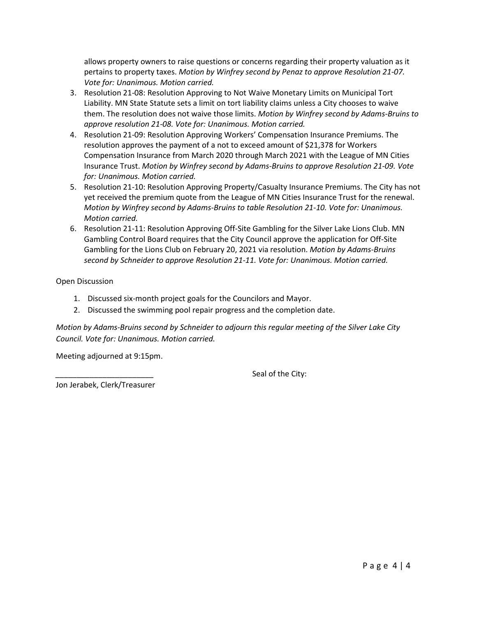allows property owners to raise questions or concerns regarding their property valuation as it pertains to property taxes. *Motion by Winfrey second by Penaz to approve Resolution 21-07. Vote for: Unanimous. Motion carried.*

- 3. Resolution 21-08: Resolution Approving to Not Waive Monetary Limits on Municipal Tort Liability. MN State Statute sets a limit on tort liability claims unless a City chooses to waive them. The resolution does not waive those limits. *Motion by Winfrey second by Adams-Bruins to approve resolution 21-08. Vote for: Unanimous. Motion carried.*
- 4. Resolution 21-09: Resolution Approving Workers' Compensation Insurance Premiums. The resolution approves the payment of a not to exceed amount of \$21,378 for Workers Compensation Insurance from March 2020 through March 2021 with the League of MN Cities Insurance Trust. *Motion by Winfrey second by Adams-Bruins to approve Resolution 21-09. Vote for: Unanimous. Motion carried.*
- 5. Resolution 21-10: Resolution Approving Property/Casualty Insurance Premiums. The City has not yet received the premium quote from the League of MN Cities Insurance Trust for the renewal. *Motion by Winfrey second by Adams-Bruins to table Resolution 21-10. Vote for: Unanimous. Motion carried.*
- 6. Resolution 21-11: Resolution Approving Off-Site Gambling for the Silver Lake Lions Club. MN Gambling Control Board requires that the City Council approve the application for Off-Site Gambling for the Lions Club on February 20, 2021 via resolution. *Motion by Adams-Bruins second by Schneider to approve Resolution 21-11. Vote for: Unanimous. Motion carried.*

Open Discussion

- 1. Discussed six-month project goals for the Councilors and Mayor.
- 2. Discussed the swimming pool repair progress and the completion date.

*Motion by Adams-Bruins second by Schneider to adjourn this regular meeting of the Silver Lake City Council. Vote for: Unanimous. Motion carried.*

Meeting adjourned at 9:15pm.

Seal of the City:

Jon Jerabek, Clerk/Treasurer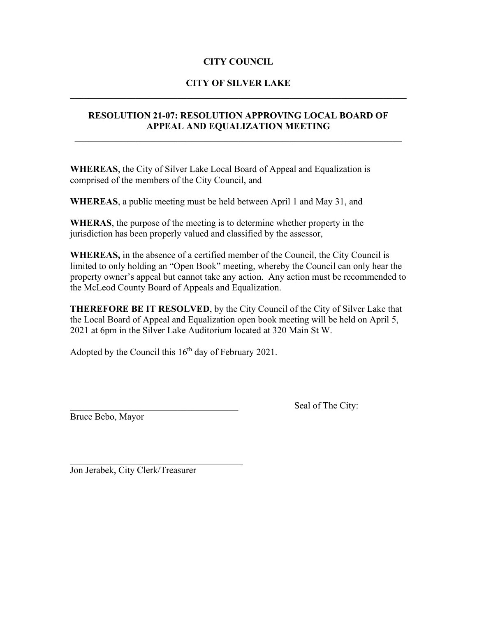# **CITY COUNCIL**

### **CITY OF SILVER LAKE**  $\mathcal{L}_\text{G}$  , and the contribution of the contribution of the contribution of the contribution of the contribution of the contribution of the contribution of the contribution of the contribution of the contribution of t

# **RESOLUTION 21-07: RESOLUTION APPROVING LOCAL BOARD OF APPEAL AND EQUALIZATION MEETING**

**WHEREAS**, the City of Silver Lake Local Board of Appeal and Equalization is comprised of the members of the City Council, and

**WHEREAS**, a public meeting must be held between April 1 and May 31, and

**WHERAS**, the purpose of the meeting is to determine whether property in the jurisdiction has been properly valued and classified by the assessor,

**WHEREAS,** in the absence of a certified member of the Council, the City Council is limited to only holding an "Open Book" meeting, whereby the Council can only hear the property owner's appeal but cannot take any action. Any action must be recommended to the McLeod County Board of Appeals and Equalization.

**THEREFORE BE IT RESOLVED**, by the City Council of the City of Silver Lake that the Local Board of Appeal and Equalization open book meeting will be held on April 5, 2021 at 6pm in the Silver Lake Auditorium located at 320 Main St W.

Adopted by the Council this  $16<sup>th</sup>$  day of February 2021.

Bruce Bebo, Mayor

Seal of The City:

Jon Jerabek, City Clerk/Treasurer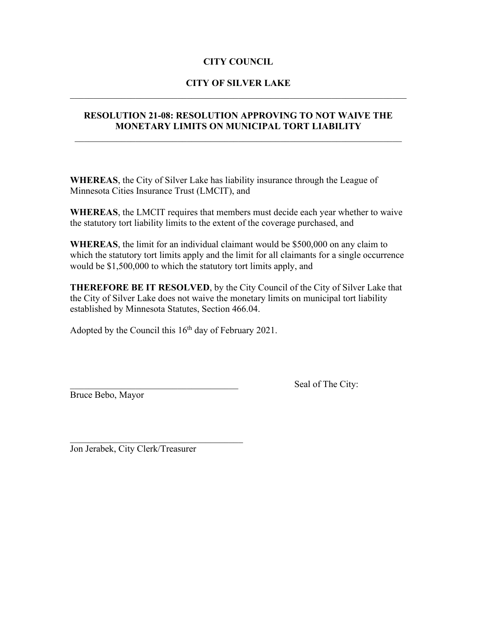# **CITY COUNCIL**

### **CITY OF SILVER LAKE**  $\mathcal{L}_\text{G}$  , and the contribution of the contribution of the contribution of the contribution of the contribution of the contribution of the contribution of the contribution of the contribution of the contribution of t

### **RESOLUTION 21-08: RESOLUTION APPROVING TO NOT WAIVE THE MONETARY LIMITS ON MUNICIPAL TORT LIABILITY**

**WHEREAS**, the City of Silver Lake has liability insurance through the League of Minnesota Cities Insurance Trust (LMCIT), and

**WHEREAS**, the LMCIT requires that members must decide each year whether to waive the statutory tort liability limits to the extent of the coverage purchased, and

**WHEREAS**, the limit for an individual claimant would be \$500,000 on any claim to which the statutory tort limits apply and the limit for all claimants for a single occurrence would be \$1,500,000 to which the statutory tort limits apply, and

**THEREFORE BE IT RESOLVED**, by the City Council of the City of Silver Lake that the City of Silver Lake does not waive the monetary limits on municipal tort liability established by Minnesota Statutes, Section 466.04.

Adopted by the Council this  $16<sup>th</sup>$  day of February 2021.

Bruce Bebo, Mayor

Seal of The City:

\_\_\_\_\_\_\_\_\_\_\_\_\_\_\_\_\_\_\_\_\_\_\_\_\_\_\_\_\_\_\_\_\_\_\_\_\_ Jon Jerabek, City Clerk/Treasurer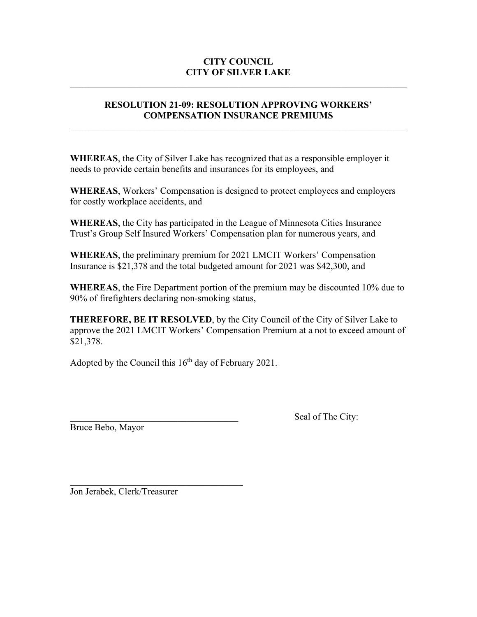# **CITY COUNCIL CITY OF SILVER LAKE**

# **RESOLUTION 21-09: RESOLUTION APPROVING WORKERS' COMPENSATION INSURANCE PREMIUMS**

 $\mathcal{L}_\text{max} = \mathcal{L}_\text{max} = \mathcal{L}_\text{max} = \mathcal{L}_\text{max} = \mathcal{L}_\text{max} = \mathcal{L}_\text{max} = \mathcal{L}_\text{max} = \mathcal{L}_\text{max} = \mathcal{L}_\text{max} = \mathcal{L}_\text{max} = \mathcal{L}_\text{max} = \mathcal{L}_\text{max} = \mathcal{L}_\text{max} = \mathcal{L}_\text{max} = \mathcal{L}_\text{max} = \mathcal{L}_\text{max} = \mathcal{L}_\text{max} = \mathcal{L}_\text{max} = \mathcal{$ 

**WHEREAS**, the City of Silver Lake has recognized that as a responsible employer it needs to provide certain benefits and insurances for its employees, and

**WHEREAS**, Workers' Compensation is designed to protect employees and employers for costly workplace accidents, and

**WHEREAS**, the City has participated in the League of Minnesota Cities Insurance Trust's Group Self Insured Workers' Compensation plan for numerous years, and

**WHEREAS**, the preliminary premium for 2021 LMCIT Workers' Compensation Insurance is \$21,378 and the total budgeted amount for 2021 was \$42,300, and

**WHEREAS**, the Fire Department portion of the premium may be discounted 10% due to 90% of firefighters declaring non-smoking status,

**THEREFORE, BE IT RESOLVED**, by the City Council of the City of Silver Lake to approve the 2021 LMCIT Workers' Compensation Premium at a not to exceed amount of \$21,378.

Adopted by the Council this  $16<sup>th</sup>$  day of February 2021.

Bruce Bebo, Mayor

Seal of The City:

Jon Jerabek, Clerk/Treasurer

\_\_\_\_\_\_\_\_\_\_\_\_\_\_\_\_\_\_\_\_\_\_\_\_\_\_\_\_\_\_\_\_\_\_\_\_\_